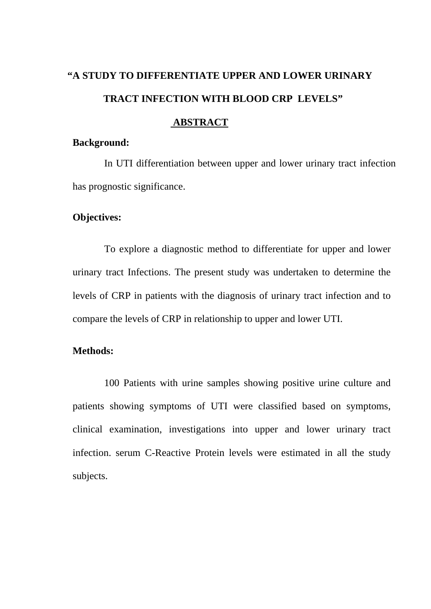# **"A STUDY TO DIFFERENTIATE UPPER AND LOWER URINARY TRACT INFECTION WITH BLOOD CRP LEVELS"**

## **ABSTRACT**

#### **Background:**

In UTI differentiation between upper and lower urinary tract infection has prognostic significance.

#### **Objectives:**

To explore a diagnostic method to differentiate for upper and lower urinary tract Infections. The present study was undertaken to determine the levels of CRP in patients with the diagnosis of urinary tract infection and to compare the levels of CRP in relationship to upper and lower UTI.

## **Methods:**

100 Patients with urine samples showing positive urine culture and patients showing symptoms of UTI were classified based on symptoms, clinical examination, investigations into upper and lower urinary tract infection. serum C-Reactive Protein levels were estimated in all the study subjects.